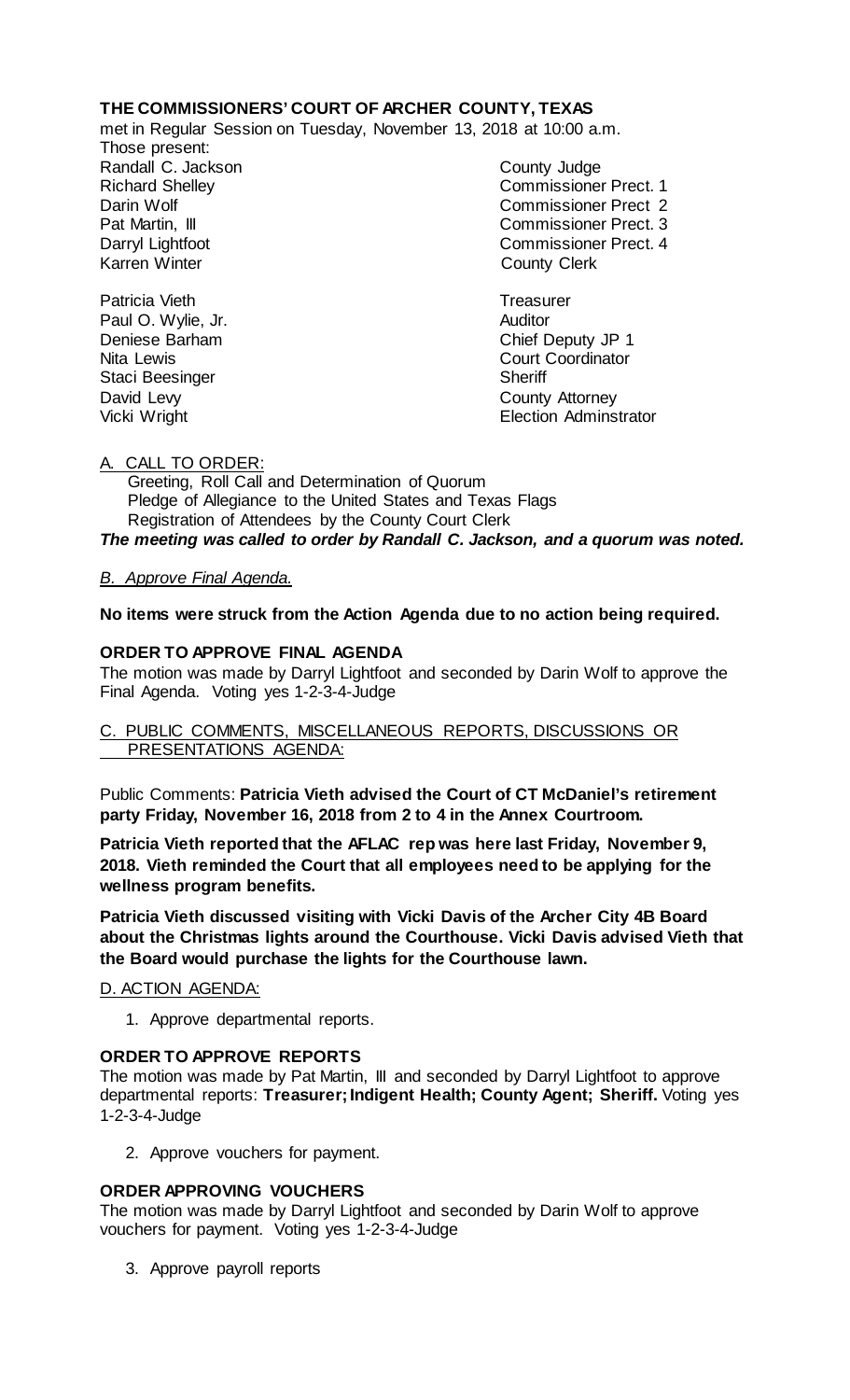# **THE COMMISSIONERS' COURT OF ARCHER COUNTY, TEXAS**

met in Regular Session on Tuesday, November 13, 2018 at 10:00 a.m.

Those present: Randall C. Jackson County Judge

Patricia Vieth **Treasurer** Treasurer Paul O. Wylie, Jr. **Auditor** Staci Beesinger Sheriff

Richard Shelley Commissioner Prect. 1 Darin Wolf Commissioner Prect 2 Pat Martin, III Commissioner Prect. 3 Darryl Lightfoot **Commissioner Prect. 4**<br>
Karren Winter **County County Clerk County Clerk** 

Deniese Barham Chief Deputy JP 1 Nita Lewis **Court Coordinator** David Levy **County Attorney** Vicki Wright **Election Administrator** 

# A. CALL TO ORDER:

 Greeting, Roll Call and Determination of Quorum Pledge of Allegiance to the United States and Texas Flags Registration of Attendees by the County Court Clerk *The meeting was called to order by Randall C. Jackson, and a quorum was noted.*

## *B. Approve Final Agenda.*

## **No items were struck from the Action Agenda due to no action being required.**

## **ORDER TO APPROVE FINAL AGENDA**

The motion was made by Darryl Lightfoot and seconded by Darin Wolf to approve the Final Agenda. Voting yes 1-2-3-4-Judge

## C. PUBLIC COMMENTS, MISCELLANEOUS REPORTS, DISCUSSIONS OR PRESENTATIONS AGENDA:

Public Comments: **Patricia Vieth advised the Court of CT McDaniel's retirement party Friday, November 16, 2018 from 2 to 4 in the Annex Courtroom.** 

**Patricia Vieth reported that the AFLAC rep was here last Friday, November 9, 2018. Vieth reminded the Court that all employees need to be applying for the wellness program benefits.**

**Patricia Vieth discussed visiting with Vicki Davis of the Archer City 4B Board about the Christmas lights around the Courthouse. Vicki Davis advised Vieth that the Board would purchase the lights for the Courthouse lawn.**

## D. ACTION AGENDA:

1. Approve departmental reports.

#### **ORDER TO APPROVE REPORTS**

The motion was made by Pat Martin, III and seconded by Darryl Lightfoot to approve departmental reports: **Treasurer; Indigent Health; County Agent; Sheriff.** Voting yes 1-2-3-4-Judge

2. Approve vouchers for payment.

## **ORDER APPROVING VOUCHERS**

The motion was made by Darryl Lightfoot and seconded by Darin Wolf to approve vouchers for payment. Voting yes 1-2-3-4-Judge

3. Approve payroll reports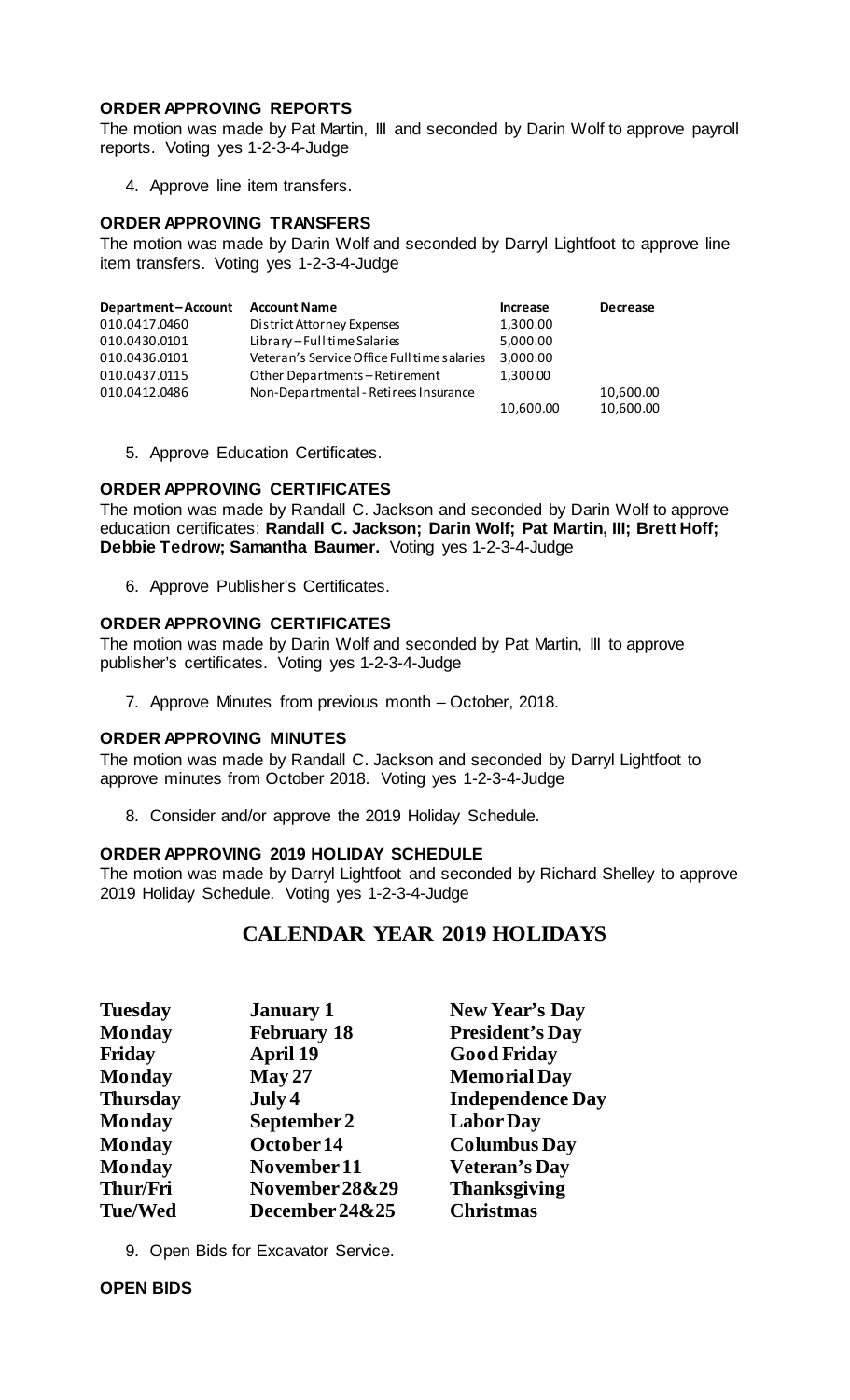### **ORDER APPROVING REPORTS**

The motion was made by Pat Martin, III and seconded by Darin Wolf to approve payroll reports. Voting yes 1-2-3-4-Judge

4. Approve line item transfers.

## **ORDER APPROVING TRANSFERS**

The motion was made by Darin Wolf and seconded by Darryl Lightfoot to approve line item transfers. Voting yes 1-2-3-4-Judge

| Department-Account | <b>Account Name</b>                         | <b>Increase</b> | <b>Decrease</b> |
|--------------------|---------------------------------------------|-----------------|-----------------|
| 010.0417.0460      | District Attorney Expenses                  | 1,300.00        |                 |
| 010.0430.0101      | Library-Full time Salaries                  | 5,000.00        |                 |
| 010.0436.0101      | Veteran's Service Office Full time salaries | 3,000.00        |                 |
| 010.0437.0115      | Other Departments-Retirement                | 1,300.00        |                 |
| 010.0412.0486      | Non-Departmental - Retirees Insurance       |                 | 10,600.00       |
|                    |                                             | 10,600.00       | 10,600.00       |

5. Approve Education Certificates.

#### **ORDER APPROVING CERTIFICATES**

The motion was made by Randall C. Jackson and seconded by Darin Wolf to approve education certificates: **Randall C. Jackson; Darin Wolf; Pat Martin, III; Brett Hoff; Debbie Tedrow; Samantha Baumer.** Voting yes 1-2-3-4-Judge

6. Approve Publisher's Certificates.

#### **ORDER APPROVING CERTIFICATES**

The motion was made by Darin Wolf and seconded by Pat Martin, III to approve publisher's certificates. Voting yes 1-2-3-4-Judge

7. Approve Minutes from previous month – October, 2018.

#### **ORDER APPROVING MINUTES**

The motion was made by Randall C. Jackson and seconded by Darryl Lightfoot to approve minutes from October 2018. Voting yes 1-2-3-4-Judge

8. Consider and/or approve the 2019 Holiday Schedule.

#### **ORDER APPROVING 2019 HOLIDAY SCHEDULE**

The motion was made by Darryl Lightfoot and seconded by Richard Shelley to approve 2019 Holiday Schedule. Voting yes 1-2-3-4-Judge

# **CALENDAR YEAR 2019 HOLIDAYS**

| <b>Tuesday</b>  | <b>January 1</b>   | <b>New Year's Day</b>   |  |
|-----------------|--------------------|-------------------------|--|
| <b>Monday</b>   | <b>February 18</b> | <b>President's Day</b>  |  |
| Friday          | April 19           | <b>Good Friday</b>      |  |
| <b>Monday</b>   | May 27             | <b>Memorial Day</b>     |  |
| <b>Thursday</b> | July 4             | <b>Independence Day</b> |  |
| <b>Monday</b>   | September 2        | <b>LaborDay</b>         |  |
| <b>Monday</b>   | October 14         | <b>Columbus Day</b>     |  |
| <b>Monday</b>   | November 11        | <b>Veteran's Day</b>    |  |
| Thur/Fri        | November 28&29     | <b>Thanksgiving</b>     |  |
| <b>Tue/Wed</b>  | December 24&25     | <b>Christmas</b>        |  |

9. Open Bids for Excavator Service.